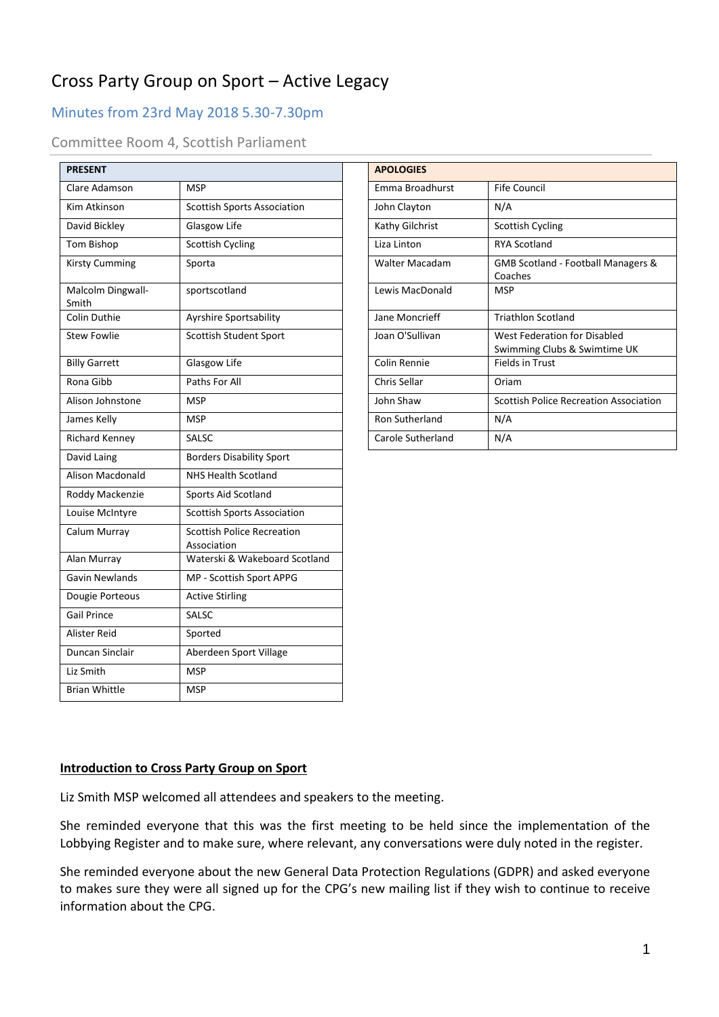# Cross Party Group on Sport – Active Legacy

# Minutes from 23rd May 2018 5.30-7.30pm

## Committee Room 4, Scottish Parliament

| <b>PRESENT</b>             |                                                  |                   | <b>APOLOGIES</b> |
|----------------------------|--------------------------------------------------|-------------------|------------------|
|                            |                                                  |                   |                  |
| Clare Adamson              | <b>MSP</b>                                       | Emma Broadhurst   |                  |
| Kim Atkinson               | <b>Scottish Sports Association</b>               | John Clayton      |                  |
| David Bickley              | Glasgow Life                                     | Kathy Gilchrist   |                  |
| Tom Bishop                 | <b>Scottish Cycling</b>                          | Liza Linton       |                  |
| <b>Kirsty Cumming</b>      | Sporta                                           | Walter Macadam    |                  |
| Malcolm Dingwall-<br>Smith | sportscotland                                    | Lewis MacDonald   |                  |
| Colin Duthie               | Ayrshire Sportsability                           | Jane Moncrieff    |                  |
| <b>Stew Fowlie</b>         | Scottish Student Sport                           | Joan O'Sullivan   |                  |
| <b>Billy Garrett</b>       | Glasgow Life                                     | Colin Rennie      |                  |
| Rona Gibb                  | Paths For All                                    | Chris Sellar      |                  |
| Alison Johnstone           | <b>MSP</b>                                       | John Shaw         |                  |
| James Kelly                | <b>MSP</b>                                       | Ron Sutherland    |                  |
| Richard Kenney             | SALSC                                            | Carole Sutherland |                  |
| David Laing                | <b>Borders Disability Sport</b>                  |                   |                  |
| Alison Macdonald           | NHS Health Scotland                              |                   |                  |
| Roddy Mackenzie            | Sports Aid Scotland                              |                   |                  |
| Louise McIntyre            | <b>Scottish Sports Association</b>               |                   |                  |
| Calum Murray               | <b>Scottish Police Recreation</b><br>Association |                   |                  |
| Alan Murray                | Waterski & Wakeboard Scotland                    |                   |                  |
| Gavin Newlands             | MP - Scottish Sport APPG                         |                   |                  |
| Dougie Porteous            | <b>Active Stirling</b>                           |                   |                  |
| <b>Gail Prince</b>         | SALSC                                            |                   |                  |
| Alister Reid               | Sported                                          |                   |                  |
| Duncan Sinclair            | Aberdeen Sport Village                           |                   |                  |
| Liz Smith                  | <b>MSP</b>                                       |                   |                  |
| <b>Brian Whittle</b>       | <b>MSP</b>                                       |                   |                  |

| PRESENT                    |                                    | <b>APOLOGIES</b>      |                                                              |
|----------------------------|------------------------------------|-----------------------|--------------------------------------------------------------|
| Clare Adamson              | <b>MSP</b>                         | Emma Broadhurst       | <b>Fife Council</b>                                          |
| Kim Atkinson               | <b>Scottish Sports Association</b> | John Clayton          | N/A                                                          |
| David Bickley              | Glasgow Life                       | Kathy Gilchrist       | <b>Scottish Cycling</b>                                      |
| Tom Bishop                 | <b>Scottish Cycling</b>            | Liza Linton           | <b>RYA Scotland</b>                                          |
| Kirsty Cumming             | Sporta                             | <b>Walter Macadam</b> | GMB Scotland - Football Managers &<br>Coaches                |
| Malcolm Dingwall-<br>Smith | sportscotland                      | Lewis MacDonald       | <b>MSP</b>                                                   |
| Colin Duthie               | Ayrshire Sportsability             | Jane Moncrieff        | <b>Triathlon Scotland</b>                                    |
| <b>Stew Fowlie</b>         | Scottish Student Sport             | Joan O'Sullivan       | West Federation for Disabled<br>Swimming Clubs & Swimtime UK |
| <b>Billy Garrett</b>       | Glasgow Life                       | Colin Rennie          | Fields in Trust                                              |
| Rona Gibb                  | Paths For All                      | Chris Sellar          | Oriam                                                        |
| Alison Johnstone           | <b>MSP</b>                         | John Shaw             | <b>Scottish Police Recreation Association</b>                |
| James Kelly                | <b>MSP</b>                         | Ron Sutherland        | N/A                                                          |
| Richard Kenney             | <b>SALSC</b>                       | Carole Sutherland     | N/A                                                          |

#### **Introduction to Cross Party Group on Sport**

Liz Smith MSP welcomed all attendees and speakers to the meeting.

She reminded everyone that this was the first meeting to be held since the implementation of the Lobbying Register and to make sure, where relevant, any conversations were duly noted in the register.

She reminded everyone about the new General Data Protection Regulations (GDPR) and asked everyone to makes sure they were all signed up for the CPG's new mailing list if they wish to continue to receive information about the CPG.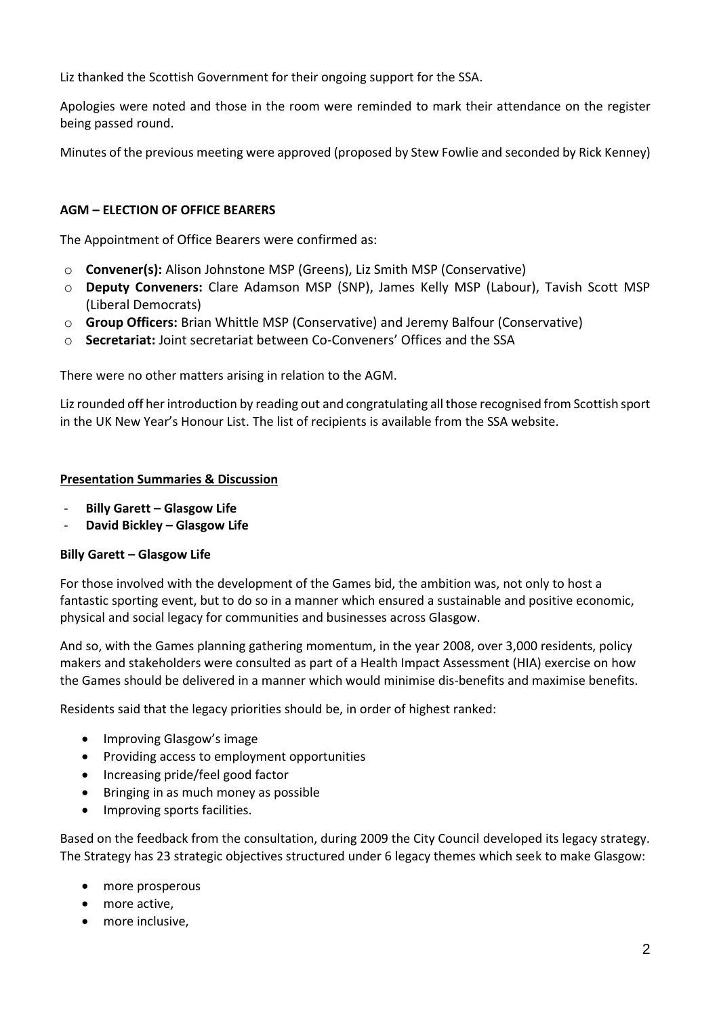Liz thanked the Scottish Government for their ongoing support for the SSA.

Apologies were noted and those in the room were reminded to mark their attendance on the register being passed round.

Minutes of the previous meeting were approved (proposed by Stew Fowlie and seconded by Rick Kenney)

#### **AGM – ELECTION OF OFFICE BEARERS**

The Appointment of Office Bearers were confirmed as:

- o **Convener(s):** Alison Johnstone MSP (Greens), Liz Smith MSP (Conservative)
- o **Deputy Conveners:** Clare Adamson MSP (SNP), James Kelly MSP (Labour), Tavish Scott MSP (Liberal Democrats)
- o **Group Officers:** Brian Whittle MSP (Conservative) and Jeremy Balfour (Conservative)
- o **Secretariat:** Joint secretariat between Co-Conveners' Offices and the SSA

There were no other matters arising in relation to the AGM.

Lizrounded off her introduction by reading out and congratulating all those recognised from Scottish sport in the UK New Year's Honour List. The list of recipients is available from the SSA website.

#### **Presentation Summaries & Discussion**

- **Billy Garett – Glasgow Life**
- **David Bickley – Glasgow Life**

#### **Billy Garett – Glasgow Life**

For those involved with the development of the Games bid, the ambition was, not only to host a fantastic sporting event, but to do so in a manner which ensured a sustainable and positive economic, physical and social legacy for communities and businesses across Glasgow.

And so, with the Games planning gathering momentum, in the year 2008, over 3,000 residents, policy makers and stakeholders were consulted as part of a Health Impact Assessment (HIA) exercise on how the Games should be delivered in a manner which would minimise dis-benefits and maximise benefits.

Residents said that the legacy priorities should be, in order of highest ranked:

- Improving Glasgow's image
- Providing access to employment opportunities
- Increasing pride/feel good factor
- Bringing in as much money as possible
- Improving sports facilities.

Based on the feedback from the consultation, during 2009 the City Council developed its legacy strategy. The Strategy has 23 strategic objectives structured under 6 legacy themes which seek to make Glasgow:

- more prosperous
- more active,
- more inclusive,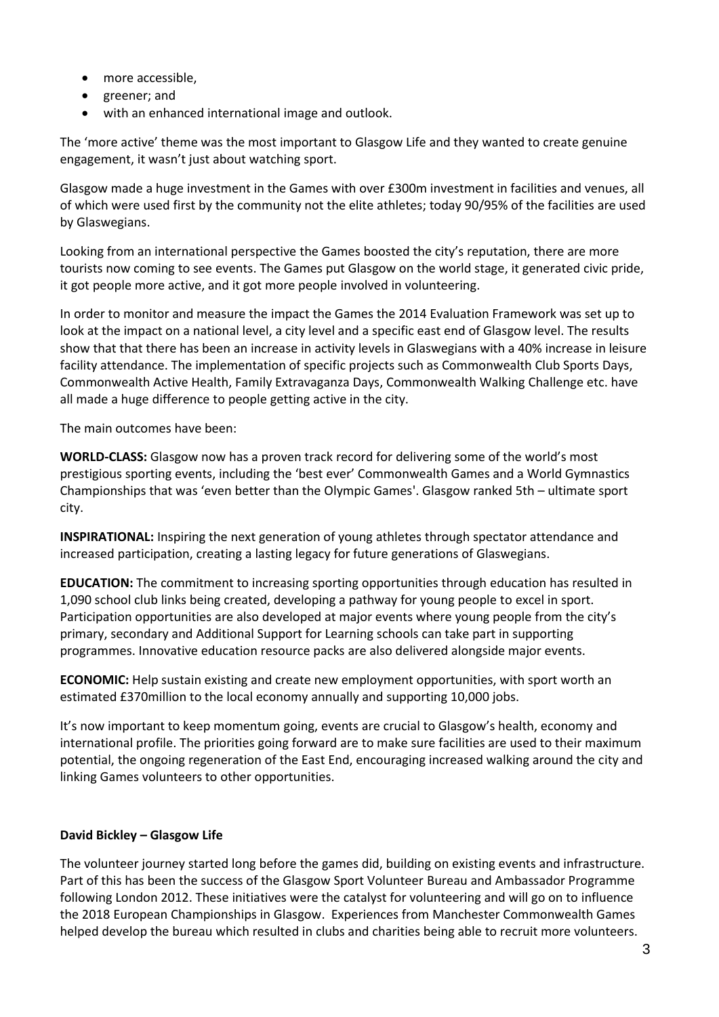- more accessible,
- greener; and
- with an enhanced international image and outlook.

The 'more active' theme was the most important to Glasgow Life and they wanted to create genuine engagement, it wasn't just about watching sport.

Glasgow made a huge investment in the Games with over £300m investment in facilities and venues, all of which were used first by the community not the elite athletes; today 90/95% of the facilities are used by Glaswegians.

Looking from an international perspective the Games boosted the city's reputation, there are more tourists now coming to see events. The Games put Glasgow on the world stage, it generated civic pride, it got people more active, and it got more people involved in volunteering.

In order to monitor and measure the impact the Games the 2014 Evaluation Framework was set up to look at the impact on a national level, a city level and a specific east end of Glasgow level. The results show that that there has been an increase in activity levels in Glaswegians with a 40% increase in leisure facility attendance. The implementation of specific projects such as Commonwealth Club Sports Days, Commonwealth Active Health, Family Extravaganza Days, Commonwealth Walking Challenge etc. have all made a huge difference to people getting active in the city.

The main outcomes have been:

**WORLD-CLASS:** Glasgow now has a proven track record for delivering some of the world's most prestigious sporting events, including the 'best ever' Commonwealth Games and a World Gymnastics Championships that was 'even better than the Olympic Games'. Glasgow ranked 5th – ultimate sport city.

**INSPIRATIONAL:** Inspiring the next generation of young athletes through spectator attendance and increased participation, creating a lasting legacy for future generations of Glaswegians.

**EDUCATION:** The commitment to increasing sporting opportunities through education has resulted in 1,090 school club links being created, developing a pathway for young people to excel in sport. Participation opportunities are also developed at major events where young people from the city's primary, secondary and Additional Support for Learning schools can take part in supporting programmes. Innovative education resource packs are also delivered alongside major events.

**ECONOMIC:** Help sustain existing and create new employment opportunities, with sport worth an estimated £370million to the local economy annually and supporting 10,000 jobs.

It's now important to keep momentum going, events are crucial to Glasgow's health, economy and international profile. The priorities going forward are to make sure facilities are used to their maximum potential, the ongoing regeneration of the East End, encouraging increased walking around the city and linking Games volunteers to other opportunities.

#### **David Bickley – Glasgow Life**

The volunteer journey started long before the games did, building on existing events and infrastructure. Part of this has been the success of the Glasgow Sport Volunteer Bureau and Ambassador Programme following London 2012. These initiatives were the catalyst for volunteering and will go on to influence the 2018 European Championships in Glasgow. Experiences from Manchester Commonwealth Games helped develop the bureau which resulted in clubs and charities being able to recruit more volunteers.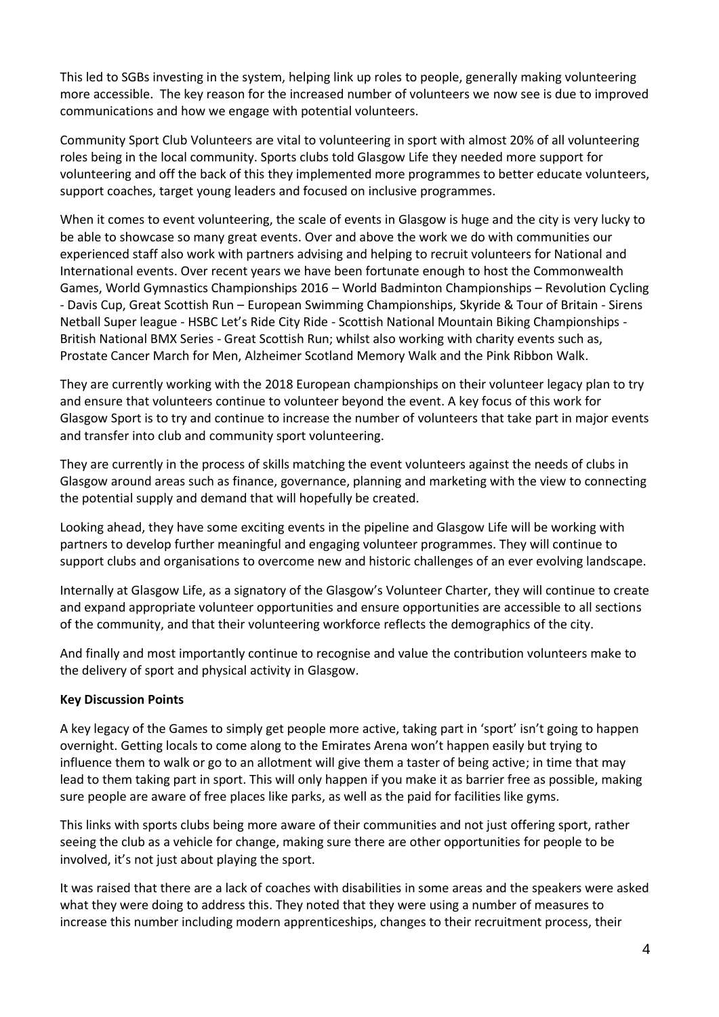This led to SGBs investing in the system, helping link up roles to people, generally making volunteering more accessible. The key reason for the increased number of volunteers we now see is due to improved communications and how we engage with potential volunteers.

Community Sport Club Volunteers are vital to volunteering in sport with almost 20% of all volunteering roles being in the local community. Sports clubs told Glasgow Life they needed more support for volunteering and off the back of this they implemented more programmes to better educate volunteers, support coaches, target young leaders and focused on inclusive programmes.

When it comes to event volunteering, the scale of events in Glasgow is huge and the city is very lucky to be able to showcase so many great events. Over and above the work we do with communities our experienced staff also work with partners advising and helping to recruit volunteers for National and International events. Over recent years we have been fortunate enough to host the Commonwealth Games, World Gymnastics Championships 2016 – World Badminton Championships – Revolution Cycling - Davis Cup, Great Scottish Run – European Swimming Championships, Skyride & Tour of Britain - Sirens Netball Super league - HSBC Let's Ride City Ride - Scottish National Mountain Biking Championships - British National BMX Series - Great Scottish Run; whilst also working with charity events such as, Prostate Cancer March for Men, Alzheimer Scotland Memory Walk and the Pink Ribbon Walk.

They are currently working with the 2018 European championships on their volunteer legacy plan to try and ensure that volunteers continue to volunteer beyond the event. A key focus of this work for Glasgow Sport is to try and continue to increase the number of volunteers that take part in major events and transfer into club and community sport volunteering.

They are currently in the process of skills matching the event volunteers against the needs of clubs in Glasgow around areas such as finance, governance, planning and marketing with the view to connecting the potential supply and demand that will hopefully be created.

Looking ahead, they have some exciting events in the pipeline and Glasgow Life will be working with partners to develop further meaningful and engaging volunteer programmes. They will continue to support clubs and organisations to overcome new and historic challenges of an ever evolving landscape.

Internally at Glasgow Life, as a signatory of the Glasgow's Volunteer Charter, they will continue to create and expand appropriate volunteer opportunities and ensure opportunities are accessible to all sections of the community, and that their volunteering workforce reflects the demographics of the city.

And finally and most importantly continue to recognise and value the contribution volunteers make to the delivery of sport and physical activity in Glasgow.

#### **Key Discussion Points**

A key legacy of the Games to simply get people more active, taking part in 'sport' isn't going to happen overnight. Getting locals to come along to the Emirates Arena won't happen easily but trying to influence them to walk or go to an allotment will give them a taster of being active; in time that may lead to them taking part in sport. This will only happen if you make it as barrier free as possible, making sure people are aware of free places like parks, as well as the paid for facilities like gyms.

This links with sports clubs being more aware of their communities and not just offering sport, rather seeing the club as a vehicle for change, making sure there are other opportunities for people to be involved, it's not just about playing the sport.

It was raised that there are a lack of coaches with disabilities in some areas and the speakers were asked what they were doing to address this. They noted that they were using a number of measures to increase this number including modern apprenticeships, changes to their recruitment process, their